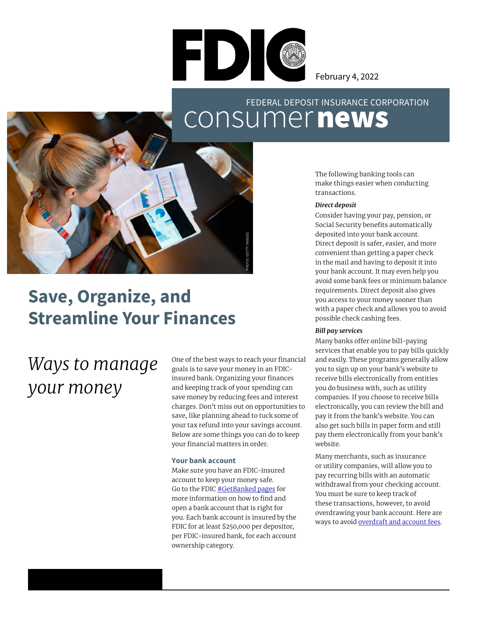

February 4, 2022

## consumernews FEDERAL DEPOSIT INSURANCE CORPORATION



## **Save, Organize, and Streamline Your Finances**

# *Ways to manage your money*

One of the best ways to reach your financial goals is to save your money in an FDICinsured bank. Organizing your finances and keeping track of your spending can save money by reducing fees and interest charges. Don't miss out on opportunities to save, like planning ahead to tuck some of your tax refund into your savings account. Below are some things you can do to keep your financial matters in order.

#### **Your bank account**

Make sure you have an FDIC-insured account to keep your money safe. Go to the FDIC [#GetBanked pages](http://fdic.gov/getbanked/index.html) for more information on how to find and open a bank account that is right for you. Each bank account is insured by the FDIC for at least \$250,000 per depositor, per FDIC-insured bank, for each account ownership category.

The following banking tools can make things easier when conducting transactions.

#### *Direct deposit*

Consider having your pay, pension, or Social Security benefits automatically deposited into your bank account. Direct deposit is safer, easier, and more convenient than getting a paper check in the mail and having to deposit it into your bank account. It may even help you avoid some bank fees or minimum balance requirements. Direct deposit also gives you access to your money sooner than with a paper check and allows you to avoid possible check cashing fees.

#### *Bill pay services*

Many banks offer online bill-paying services that enable you to pay bills quickly and easily. These programs generally allow you to sign up on your bank's website to receive bills electronically from entities you do business with, such as utility companies. If you choose to receive bills electronically, you can review the bill and pay it from the bank's website. You can also get such bills in paper form and still pay them electronically from your bank's website.

Many merchants, such as insurance or utility companies, will allow you to pay recurring bills with an automatic withdrawal from your checking account. You must be sure to keep track of these transactions, however, to avoid overdrawing your bank account. Here are ways to avoid [overdraft and account fees](https://www.fdic.gov/resources/consumers/consumer-news/2021-12.html).